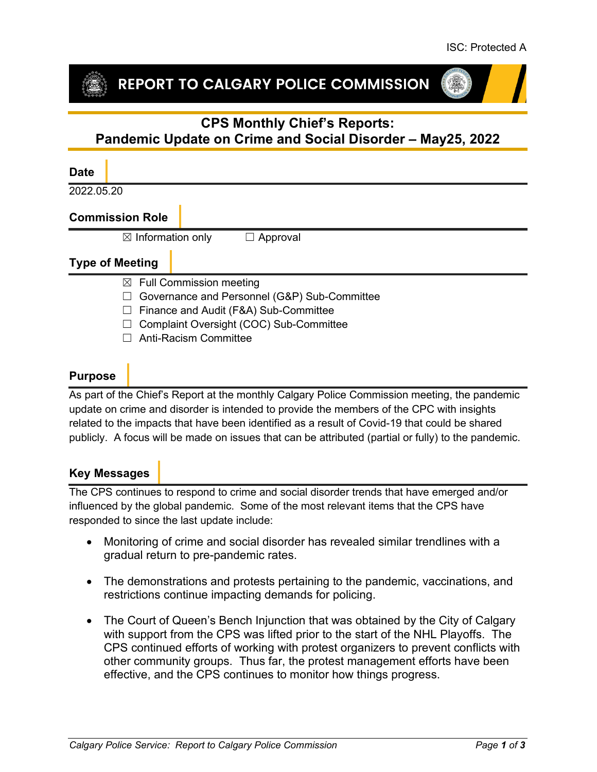## REPORT TO CALGARY POLICE COMMISSION

# **CPS Monthly Chief's Reports:**

## **Pandemic Update on Crime and Social Disorder – May25, 2022**

#### **Date**

2022.05.20

#### **Commission Role**

 $\boxtimes$  Information only  $\Box$  Approval

#### **Type of Meeting**

- $\boxtimes$  Full Commission meeting
- ☐ Governance and Personnel (G&P) Sub-Committee
- ☐ Finance and Audit (F&A) Sub-Committee
- ☐ Complaint Oversight (COC) Sub-Committee
- ☐ Anti-Racism Committee

### **Purpose**

As part of the Chief's Report at the monthly Calgary Police Commission meeting, the pandemic update on crime and disorder is intended to provide the members of the CPC with insights related to the impacts that have been identified as a result of Covid-19 that could be shared publicly. A focus will be made on issues that can be attributed (partial or fully) to the pandemic.

#### **Key Messages**

The CPS continues to respond to crime and social disorder trends that have emerged and/or influenced by the global pandemic. Some of the most relevant items that the CPS have responded to since the last update include:

- Monitoring of crime and social disorder has revealed similar trendlines with a gradual return to pre-pandemic rates.
- The demonstrations and protests pertaining to the pandemic, vaccinations, and restrictions continue impacting demands for policing.
- The Court of Queen's Bench Injunction that was obtained by the City of Calgary with support from the CPS was lifted prior to the start of the NHL Playoffs. The CPS continued efforts of working with protest organizers to prevent conflicts with other community groups. Thus far, the protest management efforts have been effective, and the CPS continues to monitor how things progress.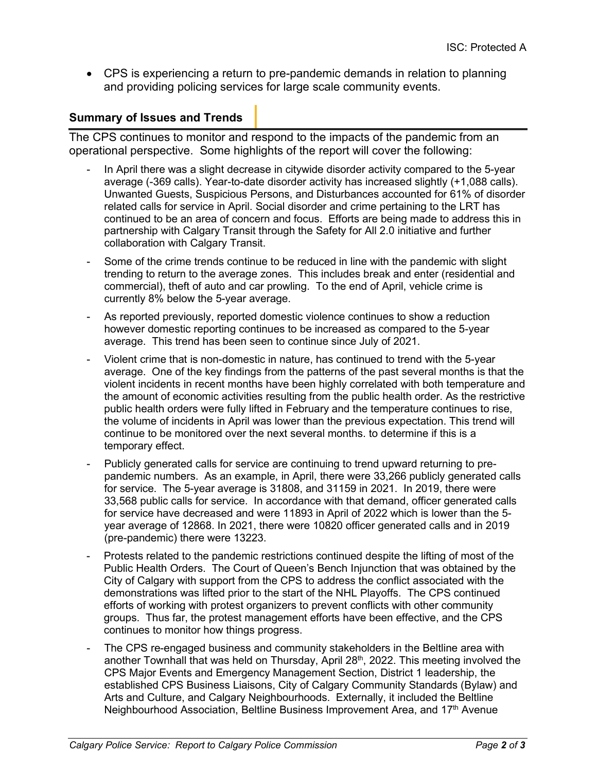• CPS is experiencing a return to pre-pandemic demands in relation to planning and providing policing services for large scale community events.

#### **Summary of Issues and Trends**

The CPS continues to monitor and respond to the impacts of the pandemic from an operational perspective. Some highlights of the report will cover the following:

- In April there was a slight decrease in citywide disorder activity compared to the 5-year average (-369 calls). Year-to-date disorder activity has increased slightly (+1,088 calls). Unwanted Guests, Suspicious Persons, and Disturbances accounted for 61% of disorder related calls for service in April. Social disorder and crime pertaining to the LRT has continued to be an area of concern and focus. Efforts are being made to address this in partnership with Calgary Transit through the Safety for All 2.0 initiative and further collaboration with Calgary Transit.
- Some of the crime trends continue to be reduced in line with the pandemic with slight trending to return to the average zones. This includes break and enter (residential and commercial), theft of auto and car prowling. To the end of April, vehicle crime is currently 8% below the 5-year average.
- As reported previously, reported domestic violence continues to show a reduction however domestic reporting continues to be increased as compared to the 5-year average. This trend has been seen to continue since July of 2021.
- Violent crime that is non-domestic in nature, has continued to trend with the 5-year average. One of the key findings from the patterns of the past several months is that the violent incidents in recent months have been highly correlated with both temperature and the amount of economic activities resulting from the public health order. As the restrictive public health orders were fully lifted in February and the temperature continues to rise, the volume of incidents in April was lower than the previous expectation. This trend will continue to be monitored over the next several months. to determine if this is a temporary effect.
- Publicly generated calls for service are continuing to trend upward returning to prepandemic numbers. As an example, in April, there were 33,266 publicly generated calls for service. The 5-year average is 31808, and 31159 in 2021. In 2019, there were 33,568 public calls for service. In accordance with that demand, officer generated calls for service have decreased and were 11893 in April of 2022 which is lower than the 5 year average of 12868. In 2021, there were 10820 officer generated calls and in 2019 (pre-pandemic) there were 13223.
- Protests related to the pandemic restrictions continued despite the lifting of most of the Public Health Orders. The Court of Queen's Bench Injunction that was obtained by the City of Calgary with support from the CPS to address the conflict associated with the demonstrations was lifted prior to the start of the NHL Playoffs. The CPS continued efforts of working with protest organizers to prevent conflicts with other community groups. Thus far, the protest management efforts have been effective, and the CPS continues to monitor how things progress.
- The CPS re-engaged business and community stakeholders in the Beltline area with another Townhall that was held on Thursday, April 28<sup>th</sup>, 2022. This meeting involved the CPS Major Events and Emergency Management Section, District 1 leadership, the established CPS Business Liaisons, City of Calgary Community Standards (Bylaw) and Arts and Culture, and Calgary Neighbourhoods. Externally, it included the Beltline Neighbourhood Association, Beltline Business Improvement Area, and 17<sup>th</sup> Avenue